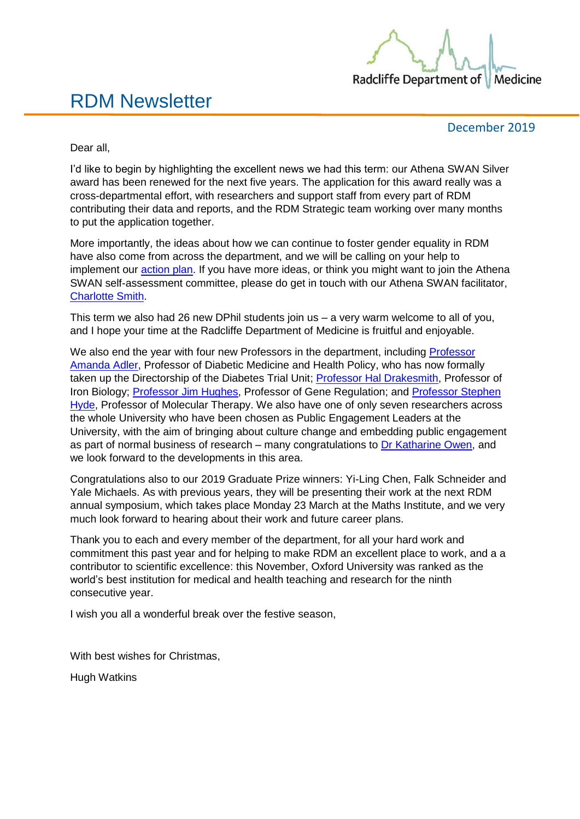

### RDM Newsletter

December 2019

Dear all,

I'd like to begin by highlighting the excellent news we had this term: our Athena SWAN Silver award has been renewed for the next five years. The application for this award really was a cross-departmental effort, with researchers and support staff from every part of RDM contributing their data and reports, and the RDM Strategic team working over many months to put the application together.

More importantly, the ideas about how we can continue to foster gender equality in RDM have also come from across the department, and we will be calling on your help to implement our [action plan.](https://www.rdm.ox.ac.uk/files/work-with-us/radcliffe-department-of-medicine-university-of-oxford-silver-departmental-award-april-2019.pdf) If you have more ideas, or think you might want to join the Athena SWAN self-assessment committee, please do get in touch with our Athena SWAN facilitator, [Charlotte Smith.](mailto:charlotte.smith@rdm.ox.ac.uk)

This term we also had 26 new DPhil students join us – a very warm welcome to all of you, and I hope your time at the Radcliffe Department of Medicine is fruitful and enjoyable.

We also end the year with four new Professors in the department, including Professor [Amanda Adler,](https://www.rdm.ox.ac.uk/people/amanda-adler) Professor of Diabetic Medicine and Health Policy, who has now formally taken up the Directorship of the Diabetes Trial Unit; Professor [Hal Drakesmith,](https://www.rdm.ox.ac.uk/people/alexander-drakesmith) Professor of Iron Biology; Professor [Jim Hughes,](https://www.rdm.ox.ac.uk/people/jim-hughes) Professor of Gene Regulation; and [Professor Stephen](https://www.rdm.ox.ac.uk/people/stephen-hyde)  [Hyde,](https://www.rdm.ox.ac.uk/people/stephen-hyde) Professor of Molecular Therapy. We also have one of only seven researchers across the whole University who have been chosen as Public Engagement Leaders at the University, with the aim of bringing about culture change and embedding public engagement as part of normal business of research – many congratulations to [Dr Katharine Owen,](https://www.rdm.ox.ac.uk/people/katharine-owen) and we look forward to the developments in this area.

Congratulations also to our 2019 Graduate Prize winners: Yi-Ling Chen, Falk Schneider and Yale Michaels. As with previous years, they will be presenting their work at the next RDM annual symposium, which takes place Monday 23 March at the Maths Institute, and we very much look forward to hearing about their work and future career plans.

Thank you to each and every member of the department, for all your hard work and commitment this past year and for helping to make RDM an excellent place to work, and a a contributor to scientific excellence: this November, Oxford University was ranked as the world's best institution for medical and health teaching and research for the ninth consecutive year.

I wish you all a wonderful break over the festive season,

With best wishes for Christmas,

Hugh Watkins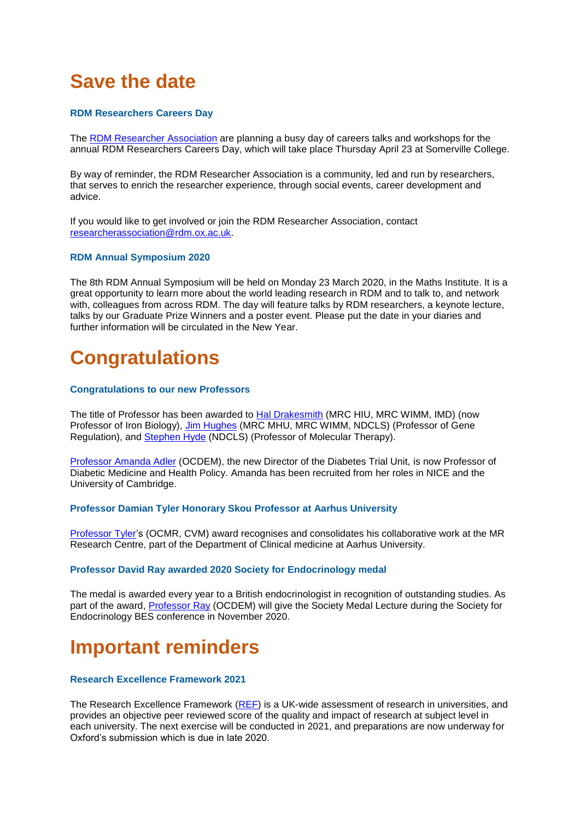## **Save the date**

#### **RDM Researchers Careers Day**

The [RDM Researcher Association](https://www.rdm.ox.ac.uk/intranet/career-development/a-community-to-enrich-the-rdm-researcher-experience-through-social-events-career-development-and-advice) are planning a busy day of careers talks and workshops for the annual RDM Researchers Careers Day, which will take place Thursday April 23 at Somerville College.

By way of reminder, the RDM Researcher Association is a community, led and run by researchers, that serves to enrich the researcher experience, through social events, career development and advice.

If you would like to get involved or join the RDM Researcher Association, contact [researcherassociation@rdm.ox.ac.uk.](mailto:researcherassociation@rdm.ox.ac.uk)

#### **RDM Annual Symposium 2020**

The 8th RDM Annual Symposium will be held on Monday 23 March 2020, in the Maths Institute. It is a great opportunity to learn more about the world leading research in RDM and to talk to, and network with, colleagues from across RDM. The day will feature talks by RDM researchers, a keynote lecture, talks by our Graduate Prize Winners and a poster event. Please put the date in your diaries and further information will be circulated in the New Year.

### **Congratulations**

#### **Congratulations to our new Professors**

The title of Professor has been awarded to [Hal Drakesmith](https://www.rdm.ox.ac.uk/people/alexander-drakesmith) (MRC HIU, MRC WIMM, IMD) (now Professor of Iron Biology), [Jim Hughes](https://www.rdm.ox.ac.uk/people/jim-hughes) (MRC MHU, MRC WIMM, NDCLS) (Professor of Gene Regulation), and [Stephen Hyde](https://www.rdm.ox.ac.uk/people/stephen-hyde) (NDCLS) (Professor of Molecular Therapy).

Professor [Amanda Adler](https://www.rdm.ox.ac.uk/people/amanda-adler) (OCDEM), the new Director of the Diabetes Trial Unit, is now Professor of Diabetic Medicine and Health Policy. Amanda has been recruited from her roles in NICE and the University of Cambridge.

#### **Professor Damian Tyler Honorary Skou Professor at Aarhus University**

[Professor](https://www.rdm.ox.ac.uk/people/damian-tyler) Tyler's (OCMR, CVM) award recognises and consolidates his collaborative work at the MR Research Centre, part of the Department of Clinical medicine at Aarhus University.

#### **Professor David Ray awarded 2020 Society for Endocrinology medal**

The medal is awarded every year to a British endocrinologist in recognition of outstanding studies. As part of the award, [Professor](https://www.rdm.ox.ac.uk/people/david-ray) Ray (OCDEM) will give the Society Medal Lecture during the Society for Endocrinology BES conference in November 2020.

### **Important reminders**

#### **Research Excellence Framework 2021**

The Research Excellence Framework [\(REF\)](https://researchsupport.admin.ox.ac.uk/reporting/ref) is a UK-wide assessment of research in universities, and provides an objective peer reviewed score of the quality and impact of research at subject level in each university. The next exercise will be conducted in 2021, and preparations are now underway for Oxford's submission which is due in late 2020.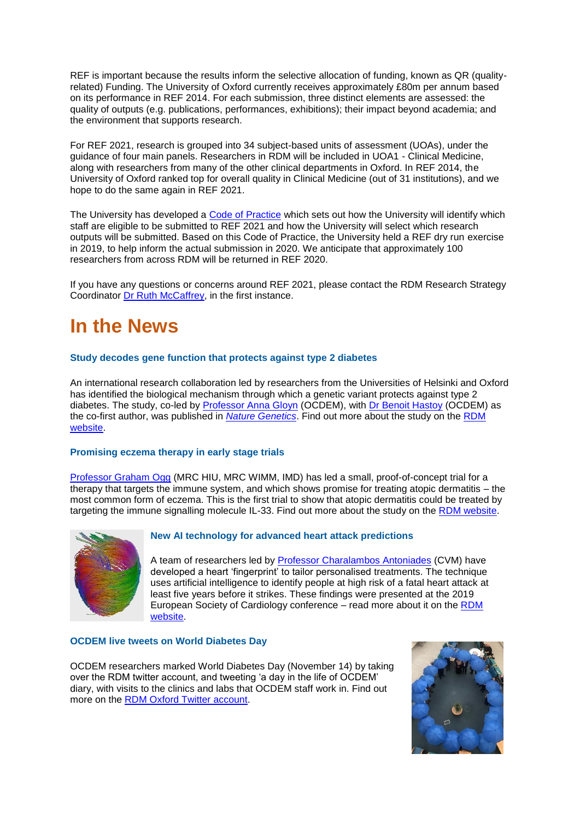REF is important because the results inform the selective allocation of funding, known as QR (qualityrelated) Funding. The University of Oxford currently receives approximately £80m per annum based on its performance in REF 2014. For each submission, three distinct elements are assessed: the quality of outputs (e.g. publications, performances, exhibitions); their impact beyond academia; and the environment that supports research.

For REF 2021, research is grouped into 34 subject-based units of assessment (UOAs), under the guidance of four main panels. Researchers in RDM will be included in UOA1 - Clinical Medicine, along with researchers from many of the other clinical departments in Oxford. In REF 2014, the University of Oxford ranked top for overall quality in Clinical Medicine (out of 31 institutions), and we hope to do the same again in REF 2021.

The University has developed a [Code of Practice](https://researchsupport.admin.ox.ac.uk/ref/code-practice) which sets out how the University will identify which staff are eligible to be submitted to REF 2021 and how the University will select which research outputs will be submitted. Based on this Code of Practice, the University held a REF dry run exercise in 2019, to help inform the actual submission in 2020. We anticipate that approximately 100 researchers from across RDM will be returned in REF 2020.

If you have any questions or concerns around REF 2021, please contact the RDM Research Strategy Coordinator [Dr Ruth McCaffrey,](mailto:ruth.mccaffrey@rdm.ox.ac.uk) in the first instance.

### **In the News**

#### **Study decodes gene function that protects against type 2 diabetes**

An international research collaboration led by researchers from the Universities of Helsinki and Oxford has identified the biological mechanism through which a genetic variant protects against type 2 diabetes. The study, co-led by [Professor Anna Gloyn](https://www.rdm.ox.ac.uk/people/anna-gloyn) (OCDEM), with [Dr Benoit Hastoy](https://www.rdm.ox.ac.uk/people/benoit-hastoy) (OCDEM) as the co-first author, was published in *[Nature Genetics](https://www.nature.com/articles/s41588-019-0513-9.epdf?author_access_token=nbprl9Ee6hSHydlsOjpAq9RgN0jAjWel9jnR3ZoTv0PGgsIi6ytsJHkNDJheZKVx_owIpKQg0Jlw8XAQv4D0YdZ9tpT_NgkiY1Mdhhhmnf48modpL3C3u58y5HCw9wt78xfLgwpnEd-R1HxuwE-kiw%3D%3D)*. Find out more about the study on the [RDM](https://www.rdm.ox.ac.uk/news/study-decodes-gene-function-that-protects-against-type-2-diabetes)  [website.](https://www.rdm.ox.ac.uk/news/study-decodes-gene-function-that-protects-against-type-2-diabetes)

#### **Promising eczema therapy in early stage trials**

[Professor Graham Ogg](https://www.rdm.ox.ac.uk/people/graham-ogg) (MRC HIU, MRC WIMM, IMD) has led a small, proof-of-concept trial for a therapy that targets the immune system, and which shows promise for treating atopic dermatitis – the most common form of eczema. This is the first trial to show that atopic dermatitis could be treated by targeting the immune signalling molecule IL-33. Find out more about the study on the [RDM website.](https://www.rdm.ox.ac.uk/news/promising-therapy-for-common-form-of-eczema-identified-in-early-stage-trial)



#### **New AI technology for advanced heart attack predictions**

A team of researchers led by [Professor Charalambos Antoniades](https://www.rdm.ox.ac.uk/people/charalambos-antoniades) (CVM) have developed a heart 'fingerprint' to tailor personalised treatments. The technique uses artificial intelligence to identify people at high risk of a fatal heart attack at least five years before it strikes. These findings were presented at the 2019 European Society of Cardiology conference – read more about it on the [RDM](https://www.rdm.ox.ac.uk/news/new-ai-technology-for-advanced-heart-attack-predictions)  [website.](https://www.rdm.ox.ac.uk/news/new-ai-technology-for-advanced-heart-attack-predictions)

#### **OCDEM live tweets on World Diabetes Day**

OCDEM researchers marked World Diabetes Day (November 14) by taking over the RDM twitter account, and tweeting 'a day in the life of OCDEM' diary, with visits to the clinics and labs that OCDEM staff work in. Find out more on the [RDM Oxford Twitter account.](https://twitter.com/RDMOxford/status/1194895241339424770)

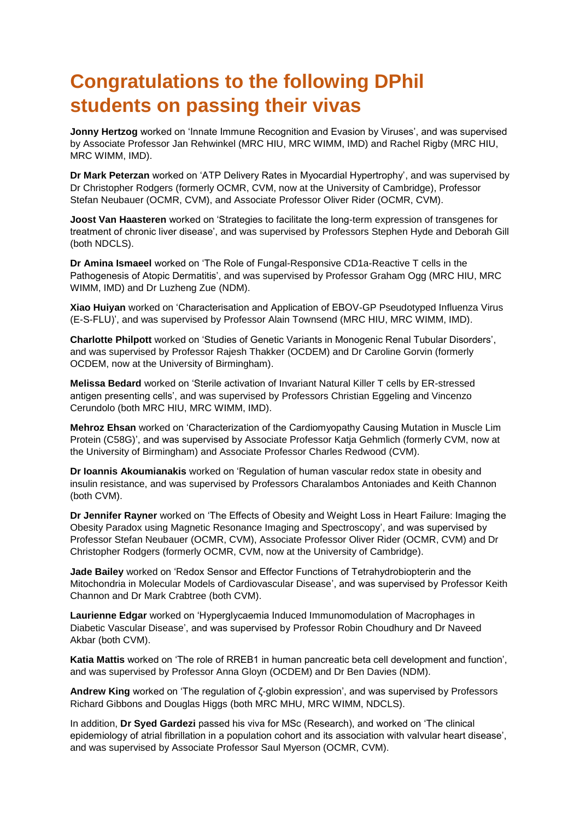# **Congratulations to the following DPhil students on passing their vivas**

**Jonny Hertzog** worked on 'Innate Immune Recognition and Evasion by Viruses', and was supervised by Associate Professor Jan Rehwinkel (MRC HIU, MRC WIMM, IMD) and Rachel Rigby (MRC HIU, MRC WIMM, IMD).

**Dr Mark Peterzan** worked on 'ATP Delivery Rates in Myocardial Hypertrophy', and was supervised by Dr Christopher Rodgers (formerly OCMR, CVM, now at the University of Cambridge), Professor Stefan Neubauer (OCMR, CVM), and Associate Professor Oliver Rider (OCMR, CVM).

**Joost Van Haasteren** worked on 'Strategies to facilitate the long-term expression of transgenes for treatment of chronic liver disease', and was supervised by Professors Stephen Hyde and Deborah Gill (both NDCLS).

**Dr Amina Ismaeel** worked on 'The Role of Fungal-Responsive CD1a-Reactive T cells in the Pathogenesis of Atopic Dermatitis', and was supervised by Professor Graham Ogg (MRC HIU, MRC WIMM, IMD) and Dr Luzheng Zue (NDM).

**Xiao Huiyan** worked on 'Characterisation and Application of EBOV-GP Pseudotyped Influenza Virus (E-S-FLU)', and was supervised by Professor Alain Townsend (MRC HIU, MRC WIMM, IMD).

**Charlotte Philpott** worked on 'Studies of Genetic Variants in Monogenic Renal Tubular Disorders', and was supervised by Professor Rajesh Thakker (OCDEM) and Dr Caroline Gorvin (formerly OCDEM, now at the University of Birmingham).

**Melissa Bedard** worked on 'Sterile activation of Invariant Natural Killer T cells by ER-stressed antigen presenting cells', and was supervised by Professors Christian Eggeling and Vincenzo Cerundolo (both MRC HIU, MRC WIMM, IMD).

**Mehroz Ehsan** worked on 'Characterization of the Cardiomyopathy Causing Mutation in Muscle Lim Protein (C58G)', and was supervised by Associate Professor Katja Gehmlich (formerly CVM, now at the University of Birmingham) and Associate Professor Charles Redwood (CVM).

**Dr Ioannis Akoumianakis** worked on 'Regulation of human vascular redox state in obesity and insulin resistance, and was supervised by Professors Charalambos Antoniades and Keith Channon (both CVM).

**Dr Jennifer Rayner** worked on 'The Effects of Obesity and Weight Loss in Heart Failure: Imaging the Obesity Paradox using Magnetic Resonance Imaging and Spectroscopy', and was supervised by Professor Stefan Neubauer (OCMR, CVM), Associate Professor Oliver Rider (OCMR, CVM) and Dr Christopher Rodgers (formerly OCMR, CVM, now at the University of Cambridge).

**Jade Bailey** worked on 'Redox Sensor and Effector Functions of Tetrahydrobiopterin and the Mitochondria in Molecular Models of Cardiovascular Disease', and was supervised by Professor Keith Channon and Dr Mark Crabtree (both CVM).

**Laurienne Edgar** worked on 'Hyperglycaemia Induced Immunomodulation of Macrophages in Diabetic Vascular Disease', and was supervised by Professor Robin Choudhury and Dr Naveed Akbar (both CVM).

**Katia Mattis** worked on 'The role of RREB1 in human pancreatic beta cell development and function', and was supervised by Professor Anna Gloyn (OCDEM) and Dr Ben Davies (NDM).

**Andrew King** worked on 'The regulation of ζ-globin expression', and was supervised by Professors Richard Gibbons and Douglas Higgs (both MRC MHU, MRC WIMM, NDCLS).

In addition, **Dr Syed Gardezi** passed his viva for MSc (Research), and worked on 'The clinical epidemiology of atrial fibrillation in a population cohort and its association with valvular heart disease', and was supervised by Associate Professor Saul Myerson (OCMR, CVM).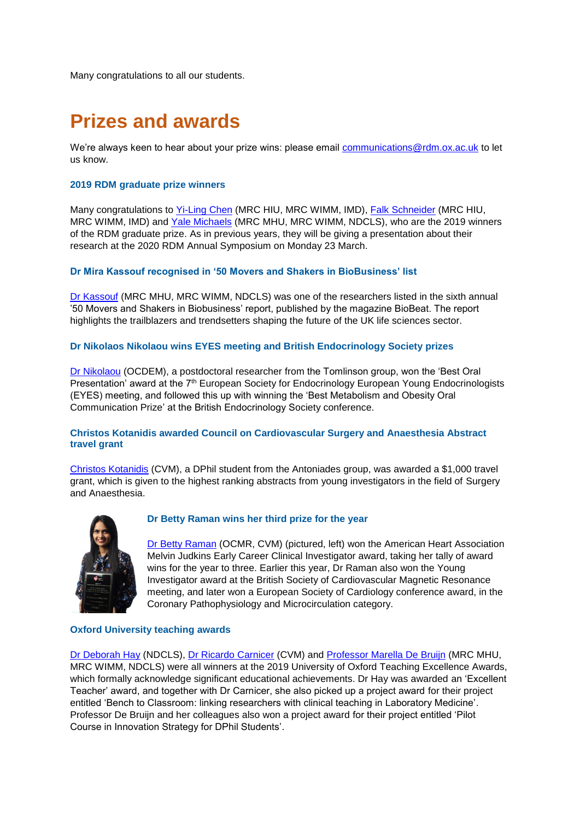Many congratulations to all our students.

## **Prizes and awards**

We're always keen to hear about your prize wins: please email [communications@rdm.ox.ac.uk](mailto:communications@rdm.ox.ac.uk) to let us know.

#### **2019 RDM graduate prize winners**

Many congratulations to [Yi-Ling Chen](https://www.rdm.ox.ac.uk/people/yi-ling-chen) (MRC HIU, MRC WIMM, IMD), [Falk Schneider](https://www.rdm.ox.ac.uk/people/falk-schneider) (MRC HIU, MRC WIMM, IMD) and [Yale Michaels](https://www.rdm.ox.ac.uk/people/yale-michaels) (MRC MHU, MRC WIMM, NDCLS), who are the 2019 winners of the RDM graduate prize. As in previous years, they will be giving a presentation about their research at the 2020 RDM Annual Symposium on Monday 23 March.

#### **Dr Mira Kassouf recognised in '50 Movers and Shakers in BioBusiness' list**

[Dr Kassouf](https://www.rdm.ox.ac.uk/people/mira-kassouf) (MRC MHU, MRC WIMM, NDCLS) was one of the researchers listed in the sixth annual '50 Movers and Shakers in Biobusiness' report, published by the magazine BioBeat. The report highlights the trailblazers and trendsetters shaping the future of the UK life sciences sector.

#### **Dr Nikolaos Nikolaou wins EYES meeting and British Endocrinology Society prizes**

[Dr Nikolaou](https://www.rdm.ox.ac.uk/people/nikolaos-nikolaou) (OCDEM), a postdoctoral researcher from the Tomlinson group, won the 'Best Oral Presentation' award at the 7<sup>th</sup> European Society for Endocrinology European Young Endocrinologists (EYES) meeting, and followed this up with winning the 'Best Metabolism and Obesity Oral Communication Prize' at the British Endocrinology Society conference.

#### **Christos Kotanidis awarded Council on Cardiovascular Surgery and Anaesthesia Abstract travel grant**

[Christos Kotanidis](https://www.rdm.ox.ac.uk/people/christos-kotanidis) (CVM), a DPhil student from the Antoniades group, was awarded a \$1,000 travel grant, which is given to the highest ranking abstracts from young investigators in the field of Surgery and Anaesthesia.



#### **Dr Betty Raman wins her third prize for the year**

[Dr Betty Raman](https://www.rdm.ox.ac.uk/people/betty-raman) (OCMR, CVM) (pictured, left) won the American Heart Association Melvin Judkins Early Career Clinical Investigator award, taking her tally of award wins for the year to three. Earlier this year, Dr Raman also won the Young Investigator award at the British Society of Cardiovascular Magnetic Resonance meeting, and later won a European Society of Cardiology conference award, in the Coronary Pathophysiology and Microcirculation category.

#### **Oxford University teaching awards**

[Dr Deborah Hay](https://www.rdm.ox.ac.uk/people/deborah-hay) (NDCLS), [Dr Ricardo Carnicer](https://www.rdm.ox.ac.uk/people/rcardo-carnicer) (CVM) and [Professor Marella De Bruijn](https://www.rdm.ox.ac.uk/people/marella-debruijn) (MRC MHU, MRC WIMM, NDCLS) were all winners at the 2019 University of Oxford Teaching Excellence Awards, which formally acknowledge significant educational achievements. Dr Hay was awarded an 'Excellent Teacher' award, and together with Dr Carnicer, she also picked up a project award for their project entitled 'Bench to Classroom: linking researchers with clinical teaching in Laboratory Medicine'. Professor De Bruijn and her colleagues also won a project award for their project entitled 'Pilot Course in Innovation Strategy for DPhil Students'.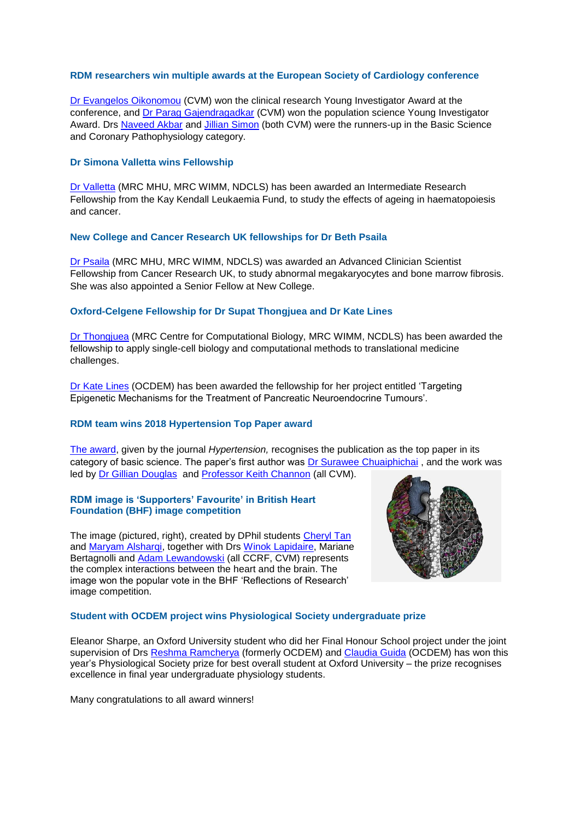#### **RDM researchers win multiple awards at the European Society of Cardiology conference**

[Dr Evangelos Oikonomou](https://www.rdm.ox.ac.uk/people/evangelos-oikonomou) (CVM) won the clinical research Young Investigator Award at the conference, and [Dr Parag Gajendragadkar](https://www.rdm.ox.ac.uk/people/parag-gajendragadkar-1) (CVM) won the population science Young Investigator Award. Drs [Naveed Akbar](https://www.rdm.ox.ac.uk/people/naveed-akbar) and [Jillian Simon](https://www.rdm.ox.ac.uk/people/jillian-simon) (both CVM) were the runners-up in the Basic Science and Coronary Pathophysiology category.

#### **Dr Simona Valletta wins Fellowship**

[Dr Valletta](https://www.rdm.ox.ac.uk/people/simona-valletta) (MRC MHU, MRC WIMM, NDCLS) has been awarded an Intermediate Research Fellowship from the Kay Kendall Leukaemia Fund, to study the effects of ageing in haematopoiesis and cancer.

#### **New College and Cancer Research UK fellowships for Dr Beth Psaila**

[Dr Psaila](https://www.rdm.ox.ac.uk/people/bethan-psaila) (MRC MHU, MRC WIMM, NDCLS) was awarded an Advanced Clinician Scientist Fellowship from Cancer Research UK, to study abnormal megakaryocytes and bone marrow fibrosis. She was also appointed a Senior Fellow at New College.

#### **Oxford-Celgene Fellowship for Dr Supat Thongjuea and Dr Kate Lines**

[Dr Thongjuea](https://www.rdm.ox.ac.uk/people/supat-thongjuea) (MRC Centre for Computational Biology, MRC WIMM, NCDLS) has been awarded the fellowship to apply single-cell biology and computational methods to translational medicine challenges.

[Dr Kate Lines](https://www.rdm.ox.ac.uk/people/kate-lines) (OCDEM) has been awarded the fellowship for her project entitled 'Targeting Epigenetic Mechanisms for the Treatment of Pancreatic Neuroendocrine Tumours'.

#### **RDM team wins 2018 Hypertension Top Paper award**

[The award,](https://www.rdm.ox.ac.uk/news/rdm-paper-wins-2018-hypertension-top-paper-award) given by the journal *Hypertension,* recognises the publication as the top paper in its category of basic science. The paper's first author was [Dr Surawee Chuaiphichai](https://www.rdm.ox.ac.uk/people/surawee-chuaiphichai) , and the work was led by [Dr Gillian Douglas](https://www.rdm.ox.ac.uk/people/gillian-douglas) and [Professor Keith Channon](https://www.rdm.ox.ac.uk/people/keith-channon) (all CVM).

#### **RDM image is 'Supporters' Favourite' in British Heart Foundation (BHF) image competition**

The image (pictured, right), created by DPhil students [Cheryl Tan](https://www.rdm.ox.ac.uk/people/cheryl-tan) and [Maryam Alsharqi,](https://www.rdm.ox.ac.uk/people/maryam-alsharqi) together with Drs [Winok Lapidaire,](https://www.rdm.ox.ac.uk/people/winok-lapidaire) Mariane Bertagnolli and [Adam Lewandowski](https://www.rdm.ox.ac.uk/people/adam-lewandowski) (all CCRF, CVM) represents the complex interactions between the heart and the brain. The image won the popular vote in the BHF 'Reflections of Research' image competition.



#### **Student with OCDEM project wins Physiological Society undergraduate prize**

Eleanor Sharpe, an Oxford University student who did her Final Honour School project under the joint supervision of Drs [Reshma Ramcherya](https://www.rdm.ox.ac.uk/people/reshma-ramracheya) (formerly OCDEM) and [Claudia Guida](https://www.rdm.ox.ac.uk/people/claudia-guida) (OCDEM) has won this year's Physiological Society prize for best overall student at Oxford University – the prize recognises excellence in final year undergraduate physiology students.

Many congratulations to all award winners!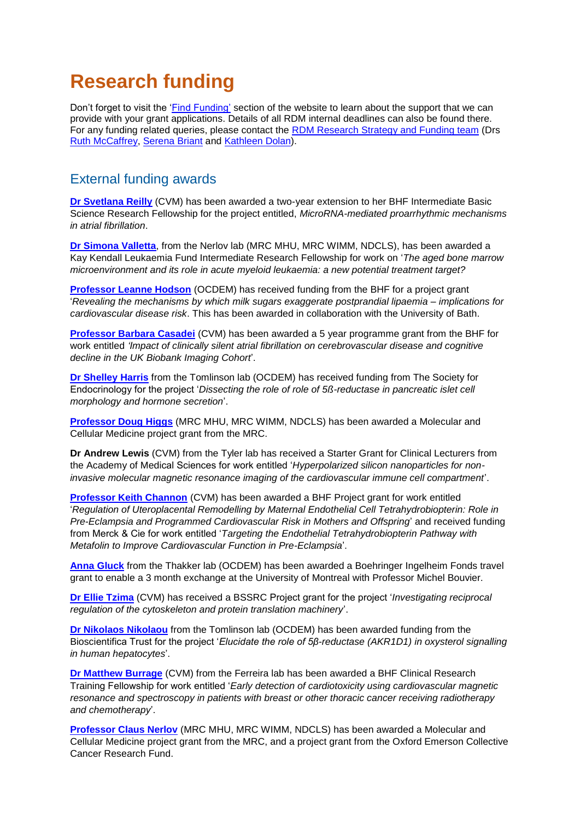## **Research funding**

Don't forget to visit the ['Find Funding'](https://www.rdm.ox.ac.uk/intranet/finance-grants-and-funding/find-funding) section of the website to learn about the support that we can provide with your grant applications. Details of all RDM internal deadlines can also be found there. For any funding related queries, please contact the [RDM Research Strategy and Funding team](mailto:funding@rdm.ox.ac.uk) (Drs [Ruth McCaffrey,](mailto:ruth.mccaffrey@rdm.ox.ac.uk) [Serena Briant](mailto:serena.briant@rdm.ox.ac.uk) and [Kathleen Dolan\)](mailto:kathleen.dolan@rdm.ox.ac.uk).

### External funding awards

**[Dr Svetlana Reilly](https://www.rdm.ox.ac.uk/people/svetlana-reilly)** (CVM) has been awarded a two-year extension to her BHF Intermediate Basic Science Research Fellowship for the project entitled, *MicroRNA-mediated proarrhythmic mechanisms in atrial fibrillation*.

**[Dr Simona Valletta](https://www.rdm.ox.ac.uk/people/simona-valletta)**, from the Nerlov lab (MRC MHU, MRC WIMM, NDCLS), has been awarded a Kay Kendall Leukaemia Fund Intermediate Research Fellowship for work on '*The aged bone marrow microenvironment and its role in acute myeloid leukaemia: a new potential treatment target?*

**[Professor Leanne Hodson](https://www.rdm.ox.ac.uk/people/leanne-hodson)** (OCDEM) has received funding from the BHF for a project grant '*Revealing the mechanisms by which milk sugars exaggerate postprandial lipaemia – implications for cardiovascular disease risk*. This has been awarded in collaboration with the University of Bath.

**[Professor Barbara Casadei](https://www.rdm.ox.ac.uk/people/barbara-casadei)** (CVM) has been awarded a 5 year programme grant from the BHF for work entitled *'Impact of clinically silent atrial fibrillation on cerebrovascular disease and cognitive decline in the UK Biobank Imaging Cohort*'.

**[Dr Shelley Harris](https://www.rdm.ox.ac.uk/people/shelley-harris)** from the Tomlinson lab (OCDEM) has received funding from The Society for Endocrinology for the project '*Dissecting the role of role of 5ß-reductase in pancreatic islet cell morphology and hormone secretion*'.

**[Professor Doug Higgs](https://www.rdm.ox.ac.uk/people/doug-higgs)** (MRC MHU, MRC WIMM, NDCLS) has been awarded a Molecular and Cellular Medicine project grant from the MRC.

**Dr Andrew Lewis** (CVM) from the Tyler lab has received a Starter Grant for Clinical Lecturers from the Academy of Medical Sciences for work entitled '*Hyperpolarized silicon nanoparticles for noninvasive molecular magnetic resonance imaging of the cardiovascular immune cell compartment*'.

**[Professor Keith Channon](https://www.rdm.ox.ac.uk/people/keith-channon)** (CVM) has been awarded a BHF Project grant for work entitled '*Regulation of Uteroplacental Remodelling by Maternal Endothelial Cell Tetrahydrobiopterin: Role in Pre-Eclampsia and Programmed Cardiovascular Risk in Mothers and Offspring*' and received funding from Merck & Cie for work entitled '*Targeting the Endothelial Tetrahydrobiopterin Pathway with Metafolin to Improve Cardiovascular Function in Pre-Eclampsia*'.

**[Anna Gluck](https://www.rdm.ox.ac.uk/people/anna-gluck)** from the Thakker lab (OCDEM) has been awarded a Boehringer Ingelheim Fonds travel grant to enable a 3 month exchange at the University of Montreal with Professor Michel Bouvier.

**[Dr Ellie Tzima](https://www.rdm.ox.ac.uk/people/ellie-tzima)** (CVM) has received a BSSRC Project grant for the project '*Investigating reciprocal regulation of the cytoskeleton and protein translation machinery*'.

**[Dr Nikolaos Nikolaou](https://www.rdm.ox.ac.uk/people/nikolaos-nikolaou)** from the Tomlinson lab (OCDEM) has been awarded funding from the Bioscientifica Trust for the project '*Elucidate the role of 5β-reductase (AKR1D1) in oxysterol signalling in human hepatocytes*'.

**[Dr Matthew Burrage](https://www.rdm.ox.ac.uk/people/matthew-burrage)** (CVM) from the Ferreira lab has been awarded a BHF Clinical Research Training Fellowship for work entitled '*Early detection of cardiotoxicity using cardiovascular magnetic resonance and spectroscopy in patients with breast or other thoracic cancer receiving radiotherapy and chemotherapy*'.

**[Professor Claus Nerlov](https://www.rdm.ox.ac.uk/people/claus-nerlov)** (MRC MHU, MRC WIMM, NDCLS) has been awarded a Molecular and Cellular Medicine project grant from the MRC, and a project grant from the Oxford Emerson Collective Cancer Research Fund.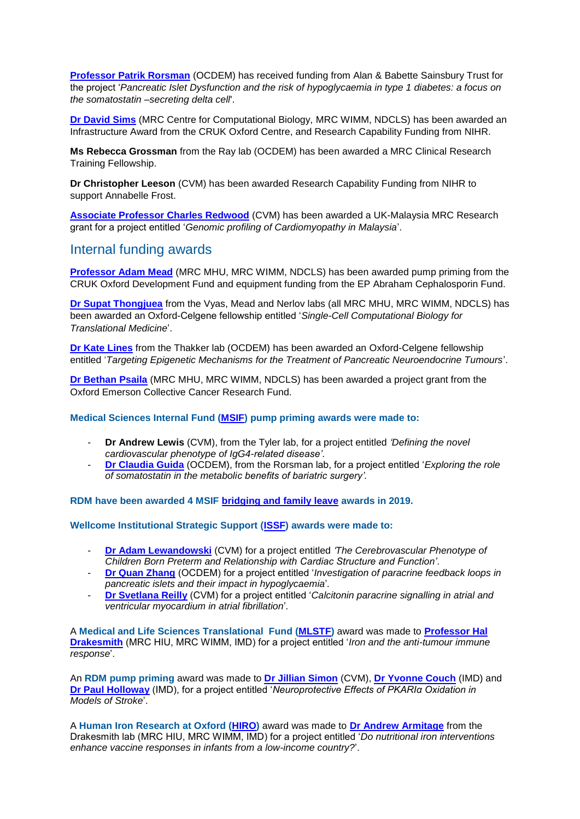**[Professor Patrik Rorsman](https://www.rdm.ox.ac.uk/people/patrik-rorsman)** (OCDEM) has received funding from Alan & Babette Sainsbury Trust for the project '*Pancreatic Islet Dysfunction and the risk of hypoglycaemia in type 1 diabetes: a focus on the somatostatin –secreting delta cell*'.

**[Dr David Sims](https://www.rdm.ox.ac.uk/people/david-sims)** (MRC Centre for Computational Biology, MRC WIMM, NDCLS) has been awarded an Infrastructure Award from the CRUK Oxford Centre, and Research Capability Funding from NIHR.

**Ms Rebecca Grossman** from the Ray lab (OCDEM) has been awarded a MRC Clinical Research Training Fellowship.

**Dr Christopher Leeson** (CVM) has been awarded Research Capability Funding from NIHR to support Annabelle Frost.

**[Associate Professor Charles Redwood](https://www.rdm.ox.ac.uk/people/charles-redwood)** (CVM) has been awarded a UK-Malaysia MRC Research grant for a project entitled '*Genomic profiling of Cardiomyopathy in Malaysia*'.

### Internal funding awards

**[Professor Adam Mead](https://www.rdm.ox.ac.uk/people/adam-mead)** (MRC MHU, MRC WIMM, NDCLS) has been awarded pump priming from the CRUK Oxford Development Fund and equipment funding from the EP Abraham Cephalosporin Fund.

**[Dr Supat Thongjuea](https://www.rdm.ox.ac.uk/people/supat-thongjuea)** from the Vyas, Mead and Nerlov labs (all MRC MHU, MRC WIMM, NDCLS) has been awarded an Oxford-Celgene fellowship entitled '*Single-Cell Computational Biology for Translational Medicine*'.

**[Dr Kate Lines](https://www.rdm.ox.ac.uk/people/kate-lines)** from the Thakker lab (OCDEM) has been awarded an Oxford-Celgene fellowship entitled '*Targeting Epigenetic Mechanisms for the Treatment of Pancreatic Neuroendocrine Tumours*'.

**[Dr Bethan Psaila](https://www.rdm.ox.ac.uk/people/bethan-psaila)** (MRC MHU, MRC WIMM, NDCLS) has been awarded a project grant from the Oxford Emerson Collective Cancer Research Fund.

**Medical Sciences Internal Fund [\(MSIF\)](https://www.medsci.ox.ac.uk/research/internal/funding-directory/medical-science-internal-fund/medical-science-internal-fund-pump-priming) pump priming awards were made to:**

- **Dr Andrew Lewis** (CVM), from the Tyler lab, for a project entitled *'Defining the novel cardiovascular phenotype of IgG4-related disease'*.
- **[Dr Claudia Guida](https://www.rdm.ox.ac.uk/people/claudia-guida)** (OCDEM), from the Rorsman lab, for a project entitled '*Exploring the role of somatostatin in the metabolic benefits of bariatric surgery'.*

**RDM have been awarded 4 MSIF [bridging and family leave](https://www.medsci.ox.ac.uk/research/internal/funding-directory/medical-science-internal-fund/medical-research-fund-bridging-salary) awards in 2019.**

**Wellcome Institutional Strategic Support [\(ISSF\)](https://www.medsci.ox.ac.uk/research/internal/funding-directory/issf) awards were made to:**

- **[Dr Adam Lewandowski](https://www.rdm.ox.ac.uk/people/adam-lewandowski)** (CVM) for a project entitled *'The Cerebrovascular Phenotype of Children Born Preterm and Relationship with Cardiac Structure and Function'*.
- **[Dr Quan Zhang](https://www.rdm.ox.ac.uk/people/quan-zhang)** (OCDEM) for a project entitled '*Investigation of paracrine feedback loops in pancreatic islets and their impact in hypoglycaemia*'*.*
- **[Dr Svetlana Reilly](https://www.rdm.ox.ac.uk/people/svetlana-reilly)** (CVM) for a project entitled '*Calcitonin paracrine signalling in atrial and ventricular myocardium in atrial fibrillation*'*.*

A **Medical and Life Sciences Translational Fund [\(MLSTF\)](https://www.medsci.ox.ac.uk/research/internal/funding-directory/medical-and-life-sciences-translational-fund)** award was made to **[Professor Hal](https://www.rdm.ox.ac.uk/people/alexander-drakesmith)  [Drakesmith](https://www.rdm.ox.ac.uk/people/alexander-drakesmith)** (MRC HIU, MRC WIMM, IMD) for a project entitled '*Iron and the anti-tumour immune response*'.

An **RDM pump priming** award was made to **[Dr Jillian Simon](https://www.rdm.ox.ac.uk/people/jillian-simon)** (CVM), **[Dr Yvonne Couch](https://www.rdm.ox.ac.uk/people/yvonne-couch)** (IMD) and **[Dr Paul Holloway](https://www.rdm.ox.ac.uk/people/paul-holloway)** (IMD), for a project entitled '*Neuroprotective Effects of PKARIα Oxidation in Models of Stroke*'.

A **Human Iron Research at Oxford [\(HIRO\)](https://www.expmedndm.ox.ac.uk/tgu/human-iron-research-at-oxford-hiro)** award was made to **[Dr Andrew Armitage](https://www.rdm.ox.ac.uk/people/andrew-armitage)** from the Drakesmith lab (MRC HIU, MRC WIMM, IMD) for a project entitled '*Do nutritional iron interventions enhance vaccine responses in infants from a low-income country?*'.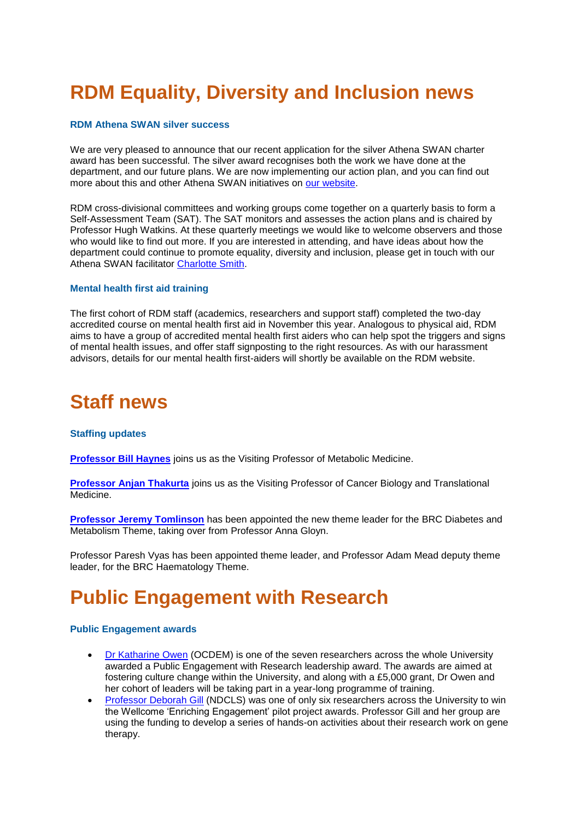# **RDM Equality, Diversity and Inclusion news**

#### **RDM Athena SWAN silver success**

We are very pleased to announce that our recent application for the silver Athena SWAN charter award has been successful. The silver award recognises both the work we have done at the department, and our future plans. We are now implementing our action plan, and you can find out more about this and other Athena SWAN initiatives on [our website.](https://www.rdm.ox.ac.uk/intranet/athena-swan/)

RDM cross-divisional committees and working groups come together on a quarterly basis to form a Self-Assessment Team (SAT). The SAT monitors and assesses the action plans and is chaired by Professor Hugh Watkins. At these quarterly meetings we would like to welcome observers and those who would like to find out more. If you are interested in attending, and have ideas about how the department could continue to promote equality, diversity and inclusion, please get in touch with our Athena SWAN facilitator [Charlotte Smith.](mailto:charlotte.smith@rdm.ox.ac.uk)

#### **Mental health first aid training**

The first cohort of RDM staff (academics, researchers and support staff) completed the two-day accredited course on mental health first aid in November this year. Analogous to physical aid, RDM aims to have a group of accredited mental health first aiders who can help spot the triggers and signs of mental health issues, and offer staff signposting to the right resources. As with our harassment advisors, details for our mental health first-aiders will shortly be available on the RDM website.

### **Staff news**

#### **Staffing updates**

**Professor [Bill Haynes](https://www.rdm.ox.ac.uk/people/bill-haynes)** joins us as the Visiting Professor of Metabolic Medicine.

**Professor [Anjan Thakurta](https://www.rdm.ox.ac.uk/people/anjan-thakurta)** joins us as the Visiting Professor of Cancer Biology and Translational Medicine.

**[Professor Jeremy Tomlinson](https://www.rdm.ox.ac.uk/people/jeremy-tomlinson)** has been appointed the new theme leader for the BRC Diabetes and Metabolism Theme, taking over from Professor Anna Gloyn.

Professor Paresh Vyas has been appointed theme leader, and Professor Adam Mead deputy theme leader, for the BRC Haematology Theme.

### **Public Engagement with Research**

#### **Public Engagement awards**

- [Dr Katharine Owen](https://www.rdm.ox.ac.uk/people/katharine-owen) (OCDEM) is one of the seven researchers across the whole University awarded a Public Engagement with Research leadership award. The awards are aimed at fostering culture change within the University, and along with a £5,000 grant, Dr Owen and her cohort of leaders will be taking part in a year-long programme of training.
- [Professor Deborah Gill](https://www.rdm.ox.ac.uk/people/deborah-gill) (NDCLS) was one of only six researchers across the University to win the Wellcome 'Enriching Engagement' pilot project awards. Professor Gill and her group are using the funding to develop a series of hands-on activities about their research work on gene therapy.